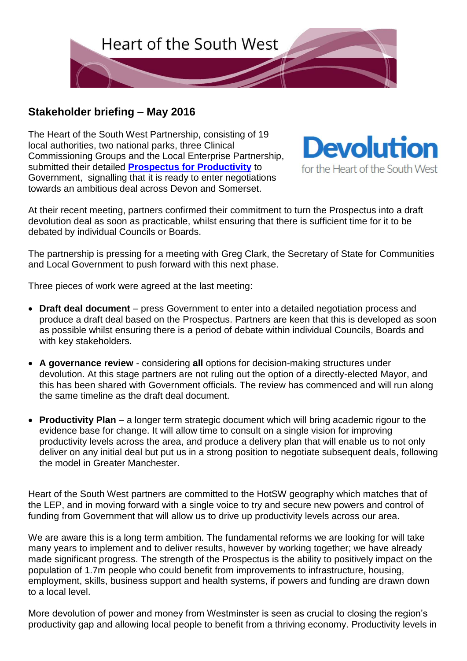

## **Stakeholder briefing – May 2016**

The Heart of the South West Partnership, consisting of 19 local authorities, two national parks, three Clinical Commissioning Groups and the Local Enterprise Partnership, submitted their detailed **[Prospectus for Productivity](https://new.devon.gov.uk/democracy/files/2016/01/Heart-of-the-South-West-Devolution-Prospectus.pdf)** to Government, signalling that it is ready to enter negotiations towards an ambitious deal across Devon and Somerset.



At their recent meeting, partners confirmed their commitment to turn the Prospectus into a draft devolution deal as soon as practicable, whilst ensuring that there is sufficient time for it to be debated by individual Councils or Boards.

The partnership is pressing for a meeting with Greg Clark, the Secretary of State for Communities and Local Government to push forward with this next phase.

Three pieces of work were agreed at the last meeting:

- **Draft deal document** press Government to enter into a detailed negotiation process and produce a draft deal based on the Prospectus. Partners are keen that this is developed as soon as possible whilst ensuring there is a period of debate within individual Councils, Boards and with key stakeholders.
- **A governance review** considering **all** options for decision-making structures under devolution. At this stage partners are not ruling out the option of a directly-elected Mayor, and this has been shared with Government officials. The review has commenced and will run along the same timeline as the draft deal document.
- **Productivity Plan**  a longer term strategic document which will bring academic rigour to the evidence base for change. It will allow time to consult on a single vision for improving productivity levels across the area, and produce a delivery plan that will enable us to not only deliver on any initial deal but put us in a strong position to negotiate subsequent deals, following the model in Greater Manchester.

Heart of the South West partners are committed to the HotSW geography which matches that of the LEP, and in moving forward with a single voice to try and secure new powers and control of funding from Government that will allow us to drive up productivity levels across our area.

We are aware this is a long term ambition. The fundamental reforms we are looking for will take many years to implement and to deliver results, however by working together; we have already made significant progress. The strength of the Prospectus is the ability to positively impact on the population of 1.7m people who could benefit from improvements to infrastructure, housing, employment, skills, business support and health systems, if powers and funding are drawn down to a local level.

More devolution of power and money from Westminster is seen as crucial to closing the region's productivity gap and allowing local people to benefit from a thriving economy. Productivity levels in